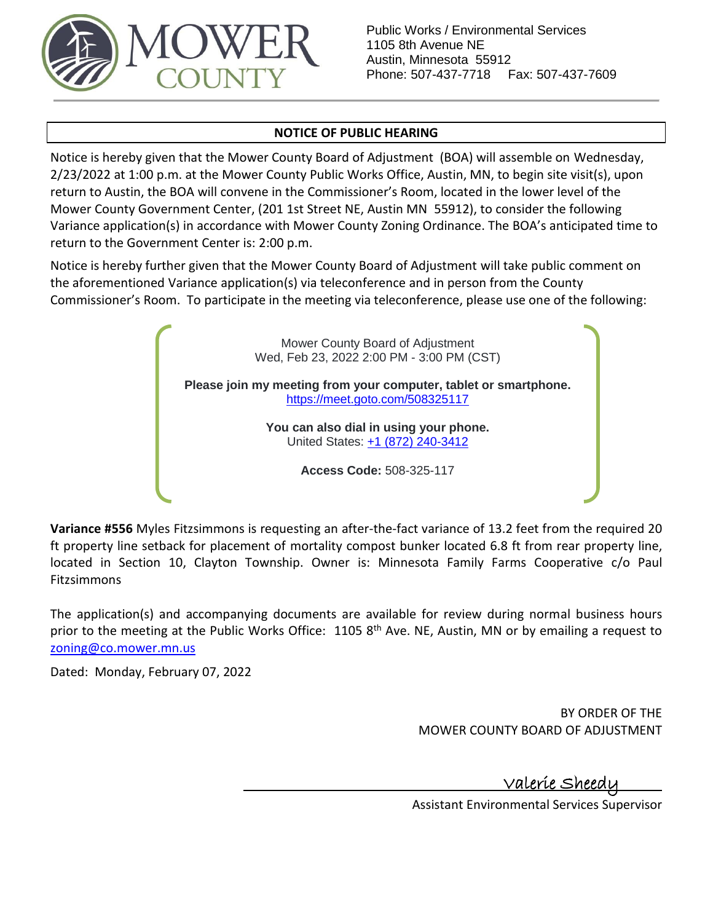

Public Works / Environmental Services 1105 8th Avenue NE Austin, Minnesota 55912 Phone: 507-437-7718 Fax: 507-437-7609

### **NOTICE OF PUBLIC HEARING**

Notice is hereby given that the Mower County Board of Adjustment (BOA) will assemble on Wednesday, 2/23/2022 at 1:00 p.m. at the Mower County Public Works Office, Austin, MN, to begin site visit(s), upon return to Austin, the BOA will convene in the Commissioner's Room, located in the lower level of the Mower County Government Center, (201 1st Street NE, Austin MN 55912), to consider the following Variance application(s) in accordance with Mower County Zoning Ordinance. The BOA's anticipated time to return to the Government Center is: 2:00 p.m.

Notice is hereby further given that the Mower County Board of Adjustment will take public comment on the aforementioned Variance application(s) via teleconference and in person from the County Commissioner's Room. To participate in the meeting via teleconference, please use one of the following:

> Mower County Board of Adjustment Wed, Feb 23, 2022 2:00 PM - 3:00 PM (CST) **Please join my meeting from your computer, tablet or smartphone.** <https://meet.goto.com/508325117> **You can also dial in using your phone.** United States: [+1 \(872\) 240-3412](tel:+18722403412,,508325117) **Access Code:** 508-325-117

**Variance #556** Myles Fitzsimmons is requesting an after-the-fact variance of 13.2 feet from the required 20 ft property line setback for placement of mortality compost bunker located 6.8 ft from rear property line, located in Section 10, Clayton Township. Owner is: Minnesota Family Farms Cooperative c/o Paul Fitzsimmons

The application(s) and accompanying documents are available for review during normal business hours prior to the meeting at the Public Works Office: 1105 8<sup>th</sup> Ave. NE, Austin, MN or by emailing a request to [zoning@co.mower.mn.us](mailto:zoning@co.mower.mn.us)

Dated: Monday, February 07, 2022

BY ORDER OF THE MOWER COUNTY BOARD OF ADJUSTMENT

<u>Valerie Sheed</u>

Assistant Environmental Services Supervisor